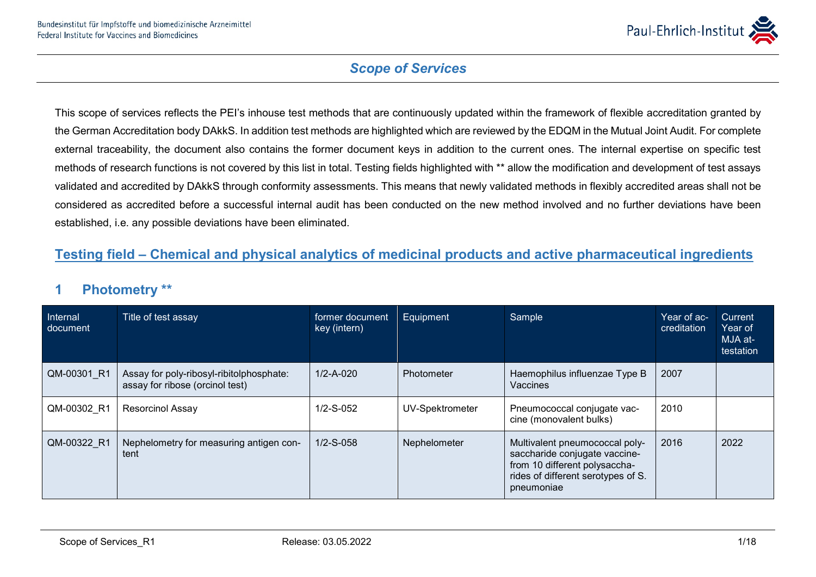

This scope of services reflects the PEI's inhouse test methods that are continuously updated within the framework of flexible accreditation granted by the German Accreditation body DAkkS. In addition test methods are highlighted which are reviewed by the EDQM in the Mutual Joint Audit. For complete external traceability, the document also contains the former document keys in addition to the current ones. The internal expertise on specific test methods of research functions is not covered by this list in total. Testing fields highlighted with \*\* allow the modification and development of test assays validated and accredited by DAkkS through conformity assessments. This means that newly validated methods in flexibly accredited areas shall not be considered as accredited before a successful internal audit has been conducted on the new method involved and no further deviations have been established, i.e. any possible deviations have been eliminated.

#### **Testing field – Chemical and physical analytics of medicinal products and active pharmaceutical ingredients**

#### **1 Photometry \*\***

| Internal<br>document | Title of test assay                                                         | former document<br>key (intern) | Equipment         | Sample                                                                                                                                               | Year of ac-<br>creditation | Current<br>Year of<br>MJA at-<br>testation |
|----------------------|-----------------------------------------------------------------------------|---------------------------------|-------------------|------------------------------------------------------------------------------------------------------------------------------------------------------|----------------------------|--------------------------------------------|
| QM-00301 R1          | Assay for poly-ribosyl-ribitolphosphate:<br>assay for ribose (orcinol test) | $1/2 - A - 020$                 | <b>Photometer</b> | Haemophilus influenzae Type B<br>Vaccines                                                                                                            | 2007                       |                                            |
| QM-00302 R1          | <b>Resorcinol Assay</b>                                                     | $1/2-S-052$                     | UV-Spektrometer   | Pneumococcal conjugate vac-<br>cine (monovalent bulks)                                                                                               | 2010                       |                                            |
| QM-00322 R1          | Nephelometry for measuring antigen con-<br>tent                             | $1/2-S-0.58$                    | Nephelometer      | Multivalent pneumococcal poly-<br>saccharide conjugate vaccine-<br>from 10 different polysaccha-<br>rides of different serotypes of S.<br>pneumoniae | 2016                       | 2022                                       |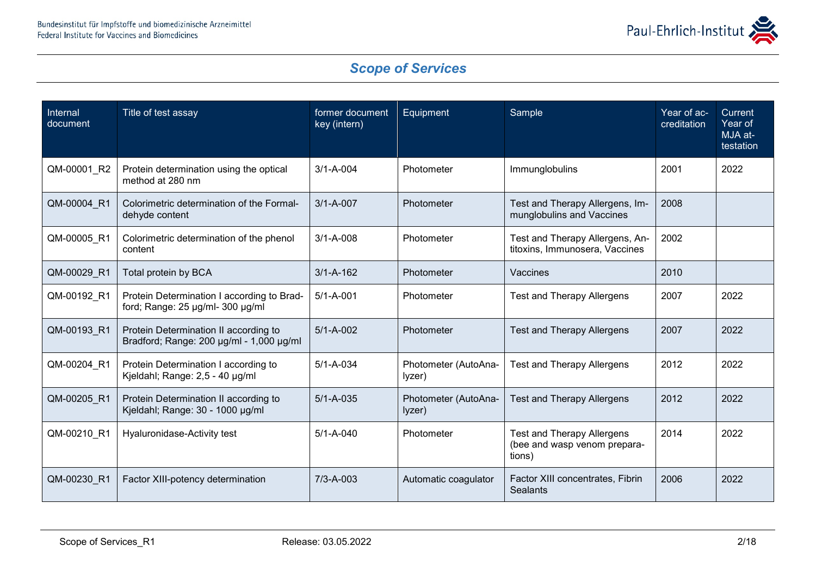

| Internal<br>document | Title of test assay                                                                       | former document<br>key (intern) | Equipment                      | Sample                                                                      | Year of ac-<br>creditation | Current<br>Year of<br>MJA at-<br>testation |
|----------------------|-------------------------------------------------------------------------------------------|---------------------------------|--------------------------------|-----------------------------------------------------------------------------|----------------------------|--------------------------------------------|
| QM-00001_R2          | Protein determination using the optical<br>method at 280 nm                               | $3/1 - A - 004$                 | Photometer                     | Immunglobulins                                                              | 2001                       | 2022                                       |
| QM-00004 R1          | Colorimetric determination of the Formal-<br>dehyde content                               | $3/1 - A - 007$                 | Photometer                     | Test and Therapy Allergens, Im-<br>munglobulins and Vaccines                | 2008                       |                                            |
| QM-00005 R1          | Colorimetric determination of the phenol<br>content                                       | $3/1 - A - 008$                 | Photometer                     | Test and Therapy Allergens, An-<br>titoxins, Immunosera, Vaccines           | 2002                       |                                            |
| QM-00029 R1          | Total protein by BCA                                                                      | $3/1 - A - 162$                 | Photometer                     | Vaccines                                                                    | 2010                       |                                            |
| QM-00192 R1          | Protein Determination I according to Brad-<br>ford; Range: 25 µg/ml- 300 µg/ml            | $5/1 - A - 001$                 | Photometer                     | <b>Test and Therapy Allergens</b>                                           | 2007                       | 2022                                       |
| QM-00193 R1          | Protein Determination II according to<br>Bradford; Range: $200 \mu g/ml - 1,000 \mu g/ml$ | $5/1 - A - 002$                 | Photometer                     | <b>Test and Therapy Allergens</b>                                           | 2007                       | 2022                                       |
| QM-00204 R1          | Protein Determination I according to<br>Kjeldahl; Range: 2,5 - 40 µg/ml                   | $5/1 - A - 034$                 | Photometer (AutoAna-<br>lyzer) | <b>Test and Therapy Allergens</b>                                           | 2012                       | 2022                                       |
| QM-00205 R1          | Protein Determination II according to<br>Kjeldahl; Range: 30 - 1000 µg/ml                 | $5/1 - A - 035$                 | Photometer (AutoAna-<br>lyzer) | <b>Test and Therapy Allergens</b>                                           | 2012                       | 2022                                       |
| QM-00210_R1          | Hyaluronidase-Activity test                                                               | $5/1 - A - 040$                 | Photometer                     | <b>Test and Therapy Allergens</b><br>(bee and wasp venom prepara-<br>tions) | 2014                       | 2022                                       |
| QM-00230 R1          | Factor XIII-potency determination                                                         | $7/3 - A - 003$                 | Automatic coagulator           | Factor XIII concentrates, Fibrin<br>Sealants                                | 2006                       | 2022                                       |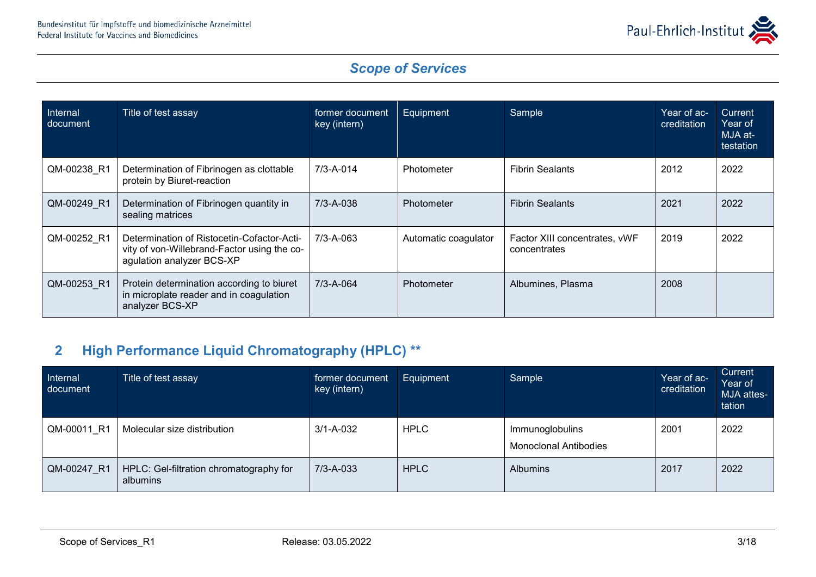

| Internal<br>document | Title of test assay                                                                                                    | former document<br>key (intern) | Equipment            | Sample                                        | Year of ac-<br>creditation | Current<br>Year of<br>MJA at-<br>testation |
|----------------------|------------------------------------------------------------------------------------------------------------------------|---------------------------------|----------------------|-----------------------------------------------|----------------------------|--------------------------------------------|
| QM-00238 R1          | Determination of Fibrinogen as clottable<br>protein by Biuret-reaction                                                 | $7/3 - A - 014$                 | Photometer           | <b>Fibrin Sealants</b>                        | 2012                       | 2022                                       |
| QM-00249 R1          | Determination of Fibrinogen quantity in<br>sealing matrices                                                            | $7/3 - A - 038$                 | Photometer           | <b>Fibrin Sealants</b>                        | 2021                       | 2022                                       |
| QM-00252 R1          | Determination of Ristocetin-Cofactor-Acti-<br>vity of von-Willebrand-Factor using the co-<br>agulation analyzer BCS-XP | $7/3 - A - 063$                 | Automatic coagulator | Factor XIII concentrates, vWF<br>concentrates | 2019                       | 2022                                       |
| QM-00253 R1          | Protein determination according to biuret<br>in microplate reader and in coagulation<br>analyzer BCS-XP                | 7/3-A-064                       | Photometer           | Albumines, Plasma                             | 2008                       |                                            |

### **2 High Performance Liquid Chromatography (HPLC) \*\***

| Internal<br>document | Title of test assay                                 | former document<br>key (intern) | Equipment   | Sample                                          | Year of ac-<br>creditation | Current<br>Year of<br>MJA attes-<br>tation |
|----------------------|-----------------------------------------------------|---------------------------------|-------------|-------------------------------------------------|----------------------------|--------------------------------------------|
| QM-00011 R1          | Molecular size distribution                         | $3/1 - A - 032$                 | <b>HPLC</b> | Immunoglobulins<br><b>Monoclonal Antibodies</b> | 2001                       | 2022                                       |
| QM-00247 R1          | HPLC: Gel-filtration chromatography for<br>albumins | $7/3 - A - 033$                 | <b>HPLC</b> | <b>Albumins</b>                                 | 2017                       | 2022                                       |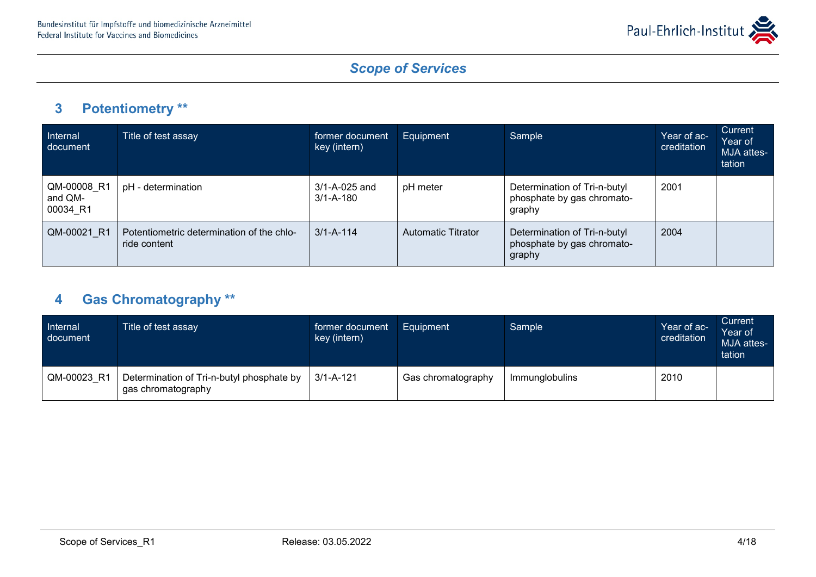

### **3 Potentiometry \*\***

| Internal<br>document               | Title of test assay                                       | former document<br>key (intern)  | Equipment          | Sample                                                               | Year of ac-<br>creditation | Current<br>Year of<br>MJA attes-<br>tation |
|------------------------------------|-----------------------------------------------------------|----------------------------------|--------------------|----------------------------------------------------------------------|----------------------------|--------------------------------------------|
| QM-00008 R1<br>and QM-<br>00034 R1 | pH - determination                                        | 3/1-A-025 and<br>$3/1 - A - 180$ | pH meter           | Determination of Tri-n-butyl<br>phosphate by gas chromato-<br>graphy | 2001                       |                                            |
| QM-00021 R1                        | Potentiometric determination of the chlo-<br>ride content | $3/1 - A - 114$                  | Automatic Titrator | Determination of Tri-n-butyl<br>phosphate by gas chromato-<br>graphy | 2004                       |                                            |

# **4 Gas Chromatography \*\***

| Internal<br>document | Title of test assay                                             | former document<br>key (intern) | Equipment          | Sample         | Year of ac-<br>creditation | Current<br>Year of<br>MJA attes-<br>tation |
|----------------------|-----------------------------------------------------------------|---------------------------------|--------------------|----------------|----------------------------|--------------------------------------------|
| QM-00023 R1          | Determination of Tri-n-butyl phosphate by<br>gas chromatography | $3/1 - A - 121$                 | Gas chromatography | Immunglobulins | 2010                       |                                            |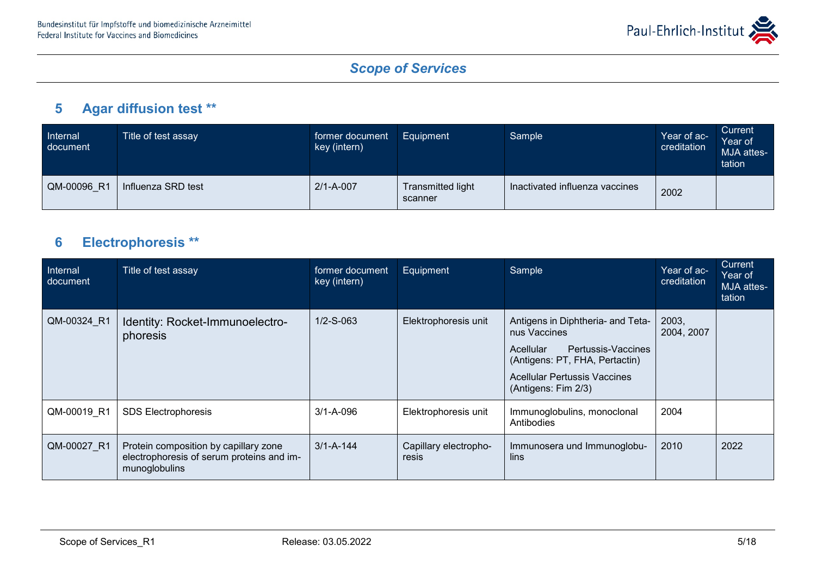

### **5 Agar diffusion test \*\***

| Internal<br>document | Title of test assay | former document<br>key (intern) | Equipment                    | Sample                         | Year of ac-<br>creditation | Current<br>Year of<br>MJA attes-<br>tation |
|----------------------|---------------------|---------------------------------|------------------------------|--------------------------------|----------------------------|--------------------------------------------|
| QM-00096 R1          | Influenza SRD test  | $2/1 - A - 007$                 | Transmitted light<br>scanner | Inactivated influenza vaccines | 2002                       |                                            |

### **6 Electrophoresis \*\***

| Internal<br>document | Title of test assay                                                                                 | former document<br>key (intern) | Equipment                      | Sample                                                                                                                                                                               | Year of ac-<br>creditation | Current<br>Year of<br>MJA attes-<br>tation |
|----------------------|-----------------------------------------------------------------------------------------------------|---------------------------------|--------------------------------|--------------------------------------------------------------------------------------------------------------------------------------------------------------------------------------|----------------------------|--------------------------------------------|
| QM-00324 R1          | Identity: Rocket-Immunoelectro-<br>phoresis                                                         | $1/2 - S - 063$                 | Elektrophoresis unit           | Antigens in Diphtheria- and Teta-<br>nus Vaccines<br>Pertussis-Vaccines<br>Acellular<br>(Antigens: PT, FHA, Pertactin)<br><b>Acellular Pertussis Vaccines</b><br>(Antigens: Fim 2/3) | 2003,<br>2004, 2007        |                                            |
| QM-00019 R1          | <b>SDS Electrophoresis</b>                                                                          | $3/1 - A - 096$                 | Elektrophoresis unit           | Immunoglobulins, monoclonal<br>Antibodies                                                                                                                                            | 2004                       |                                            |
| QM-00027 R1          | Protein composition by capillary zone<br>electrophoresis of serum proteins and im-<br>munoglobulins | $3/1 - A - 144$                 | Capillary electropho-<br>resis | Immunosera und Immunoglobu-<br>lins                                                                                                                                                  | 2010                       | 2022                                       |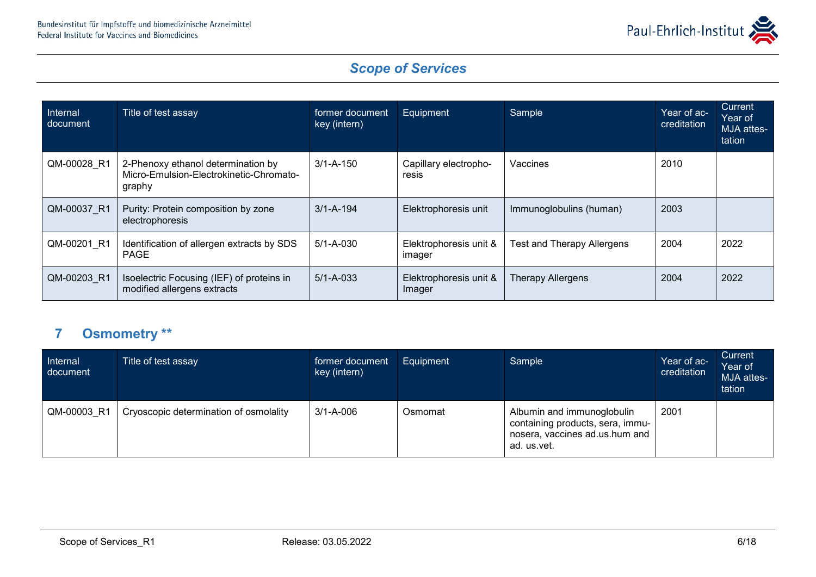

| Internal<br>document | Title of test assay                                                                     | former document<br>key (intern) | Equipment                        | Sample                            | Year of ac-<br>creditation | <b>Current</b><br>Year of<br>MJA attes-<br>tation |
|----------------------|-----------------------------------------------------------------------------------------|---------------------------------|----------------------------------|-----------------------------------|----------------------------|---------------------------------------------------|
| QM-00028 R1          | 2-Phenoxy ethanol determination by<br>Micro-Emulsion-Electrokinetic-Chromato-<br>graphy | $3/1 - A - 150$                 | Capillary electropho-<br>resis   | Vaccines                          | 2010                       |                                                   |
| QM-00037 R1          | Purity: Protein composition by zone<br>electrophoresis                                  | $3/1 - A - 194$                 | Elektrophoresis unit             | Immunoglobulins (human)           | 2003                       |                                                   |
| QM-00201 R1          | Identification of allergen extracts by SDS<br><b>PAGE</b>                               | $5/1 - A - 030$                 | Elektrophoresis unit &<br>imager | <b>Test and Therapy Allergens</b> | 2004                       | 2022                                              |
| QM-00203 R1          | Isoelectric Focusing (IEF) of proteins in<br>modified allergens extracts                | $5/1 - A - 033$                 | Elektrophoresis unit &<br>Imager | <b>Therapy Allergens</b>          | 2004                       | 2022                                              |

### **7 Osmometry \*\***

| Internal<br>document | Title of test assay                    | former document<br>key (intern) | Equipment | Sample                                                                                                          | Year of ac-<br>creditation | Current<br>Year of<br>MJA attes-<br>tation |
|----------------------|----------------------------------------|---------------------------------|-----------|-----------------------------------------------------------------------------------------------------------------|----------------------------|--------------------------------------------|
| QM-00003 R1          | Cryoscopic determination of osmolality | $3/1 - A - 006$                 | Osmomat   | Albumin and immunoglobulin<br>containing products, sera, immu-<br>nosera, vaccines ad.us.hum and<br>ad. us.vet. | 2001                       |                                            |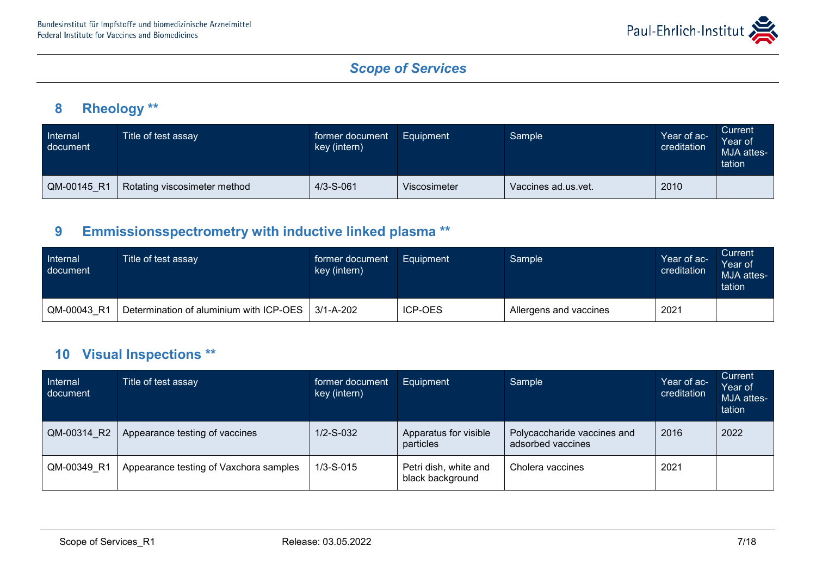

### **8 Rheology \*\***

| Internal<br>document | Title of test assay          | former document<br>key (intern) | Equipment    | Sample              | Year of ac-<br>creditation | Current<br>Year of<br>MJA attes-<br>tation |
|----------------------|------------------------------|---------------------------------|--------------|---------------------|----------------------------|--------------------------------------------|
| QM-00145 R1          | Rotating viscosimeter method | $4/3 - S - 061$                 | Viscosimeter | Vaccines ad.us.vet. | 2010                       |                                            |

### **9 Emmissionsspectrometry with inductive linked plasma \*\***

| Internal<br>document | Title of test assay                     | former document<br>key (intern) | Equipment      | Sample                 | Year of ac-<br>creditation | Current<br>Year of<br>MJA attes-<br>tation |
|----------------------|-----------------------------------------|---------------------------------|----------------|------------------------|----------------------------|--------------------------------------------|
| QM-00043 R1          | Determination of aluminium with ICP-OES | $3/1 - A - 202$                 | <b>ICP-OES</b> | Allergens and vaccines | 2021                       |                                            |

#### **10 Visual Inspections \*\***

| <b>Internal</b><br>document | Title of test assay                    | former document<br>key (intern) | Equipment                                 | Sample                                           | Year of ac-<br>creditation | Current<br>Year of<br>MJA attes-<br>tation |
|-----------------------------|----------------------------------------|---------------------------------|-------------------------------------------|--------------------------------------------------|----------------------------|--------------------------------------------|
| QM-00314 R2                 | Appearance testing of vaccines         | $1/2 - S - 032$                 | Apparatus for visible<br>particles        | Polycaccharide vaccines and<br>adsorbed vaccines | 2016                       | 2022                                       |
| QM-00349 R1                 | Appearance testing of Vaxchora samples | $1/3 - S - 015$                 | Petri dish, white and<br>black background | Cholera vaccines                                 | 2021                       |                                            |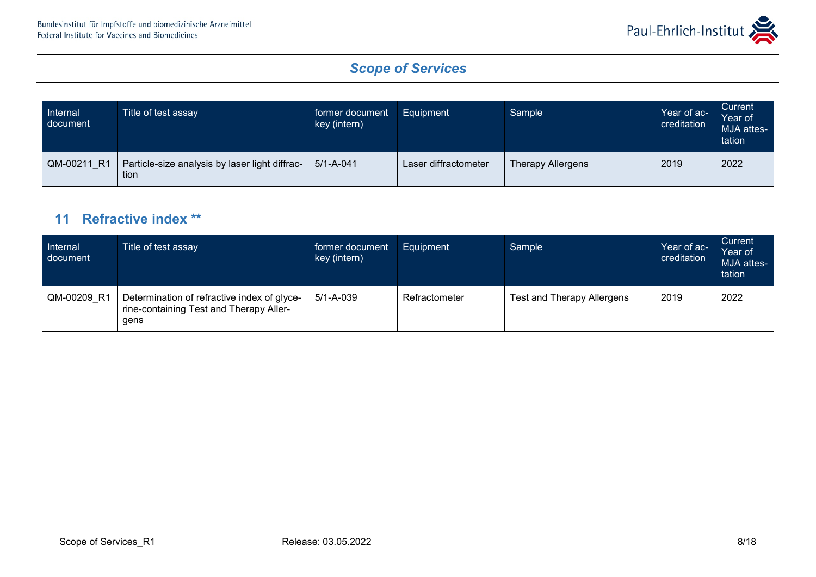

| Internal<br>document | Title of test assay                                    | former document<br>key (intern) | Equipment            | Sample                   | Year of ac-<br>creditation | Current<br>Year of<br>MJA attes-<br>tation |
|----------------------|--------------------------------------------------------|---------------------------------|----------------------|--------------------------|----------------------------|--------------------------------------------|
| QM-00211_R1          | Particle-size analysis by laser light diffrac-<br>tion | $5/1 - A - 041$                 | Laser diffractometer | <b>Therapy Allergens</b> | 2019                       | 2022                                       |

#### **11 Refractive index \*\***

| Internal<br>document | Title of test assay                                                                            | former document<br>key (intern) | Equipment     | Sample                     | Year of ac-<br>creditation | Current<br>Year of<br>MJA attes-<br>tation |
|----------------------|------------------------------------------------------------------------------------------------|---------------------------------|---------------|----------------------------|----------------------------|--------------------------------------------|
| QM-00209 R1          | Determination of refractive index of glyce-<br>rine-containing Test and Therapy Aller-<br>gens | $5/1 - A - 039$                 | Refractometer | Test and Therapy Allergens | 2019                       | 2022                                       |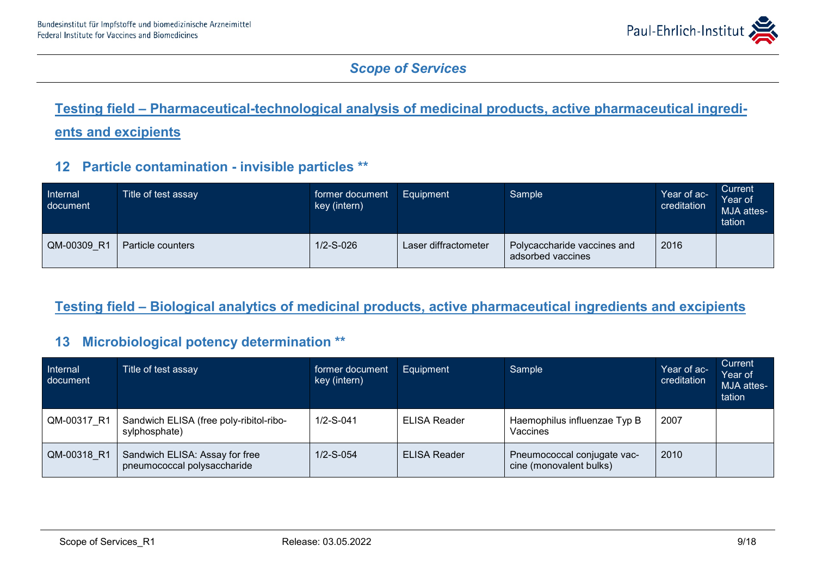

# **Testing field – Pharmaceutical-technological analysis of medicinal products, active pharmaceutical ingredients and excipients**

#### **12 Particle contamination - invisible particles \*\***

| Internal<br>document | Title of test assay | former document<br>key (intern) | Equipment            | Sample                                           | Year of ac-<br>creditation | Current<br>Year of<br>MJA attes-<br>tation |
|----------------------|---------------------|---------------------------------|----------------------|--------------------------------------------------|----------------------------|--------------------------------------------|
| QM-00309 R1          | Particle counters   | $1/2 - S - 026$                 | Laser diffractometer | Polycaccharide vaccines and<br>adsorbed vaccines | 2016                       |                                            |

#### **Testing field – Biological analytics of medicinal products, active pharmaceutical ingredients and excipients**

#### **13 Microbiological potency determination \*\***

| <b>Internal</b><br>document | Title of test assay                                           | former document<br>key (intern) | Equipment           | Sample                                                 | Year of ac-<br>creditation | Current<br>Year of<br>MJA attes-<br>tation |
|-----------------------------|---------------------------------------------------------------|---------------------------------|---------------------|--------------------------------------------------------|----------------------------|--------------------------------------------|
| QM-00317 R1                 | Sandwich ELISA (free poly-ribitol-ribo-<br>sylphosphate)      | $1/2-S-041$                     | ELISA Reader        | Haemophilus influenzae Typ B<br>Vaccines               | 2007                       |                                            |
| QM-00318 R1                 | Sandwich ELISA: Assay for free<br>pneumococcal polysaccharide | $1/2-S-054$                     | <b>ELISA Reader</b> | Pneumococcal conjugate vac-<br>cine (monovalent bulks) | 2010                       |                                            |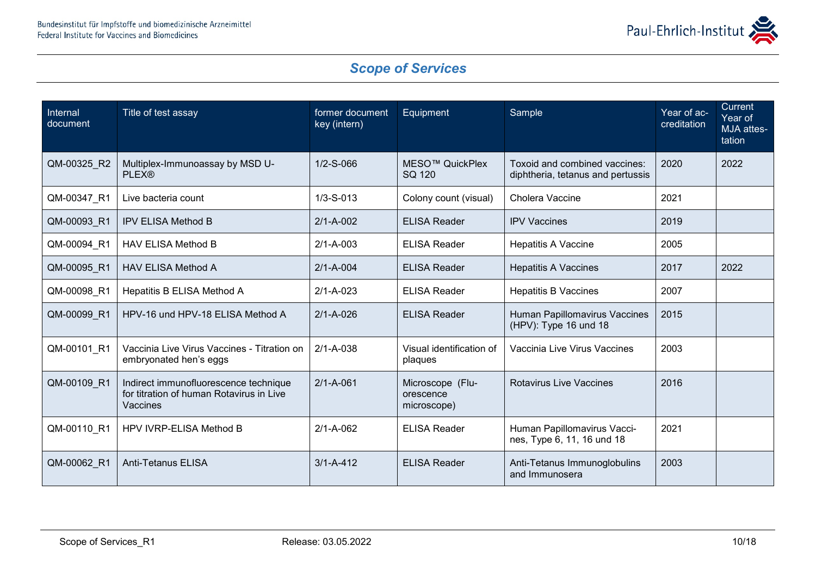

| Internal<br>document | Title of test assay                                                                           | former document<br>key (intern) | Equipment                                    | Sample                                                             | Year of ac-<br>creditation | Current<br>Year of<br>MJA attes-<br>tation |
|----------------------|-----------------------------------------------------------------------------------------------|---------------------------------|----------------------------------------------|--------------------------------------------------------------------|----------------------------|--------------------------------------------|
| QM-00325 R2          | Multiplex-Immunoassay by MSD U-<br><b>PLEX®</b>                                               | $1/2 - S - 066$                 | MESO <sup>™</sup> QuickPlex<br>SQ 120        | Toxoid and combined vaccines:<br>diphtheria, tetanus and pertussis | 2020                       | 2022                                       |
| QM-00347_R1          | Live bacteria count                                                                           | $1/3 - S - 013$                 | Colony count (visual)                        | Cholera Vaccine                                                    | 2021                       |                                            |
| QM-00093 R1          | <b>IPV ELISA Method B</b>                                                                     | $2/1 - A - 002$                 | <b>ELISA Reader</b>                          | <b>IPV Vaccines</b>                                                | 2019                       |                                            |
| QM-00094 R1          | <b>HAV ELISA Method B</b>                                                                     | $2/1 - A - 003$                 | <b>ELISA Reader</b>                          | <b>Hepatitis A Vaccine</b>                                         | 2005                       |                                            |
| QM-00095_R1          | <b>HAV ELISA Method A</b>                                                                     | $2/1 - A - 004$                 | <b>ELISA Reader</b>                          | <b>Hepatitis A Vaccines</b>                                        | 2017                       | 2022                                       |
| QM-00098 R1          | Hepatitis B ELISA Method A                                                                    | $2/1 - A - 023$                 | <b>ELISA Reader</b>                          | <b>Hepatitis B Vaccines</b>                                        | 2007                       |                                            |
| QM-00099 R1          | HPV-16 und HPV-18 ELISA Method A                                                              | $2/1 - A - 026$                 | <b>ELISA Reader</b>                          | Human Papillomavirus Vaccines<br>(HPV): Type 16 und 18             | 2015                       |                                            |
| QM-00101 R1          | Vaccinia Live Virus Vaccines - Titration on<br>embryonated hen's eggs                         | $2/1 - A - 038$                 | Visual identification of<br>plaques          | Vaccinia Live Virus Vaccines                                       | 2003                       |                                            |
| QM-00109 R1          | Indirect immunofluorescence technique<br>for titration of human Rotavirus in Live<br>Vaccines | $2/1 - A - 061$                 | Microscope (Flu-<br>orescence<br>microscope) | <b>Rotavirus Live Vaccines</b>                                     | 2016                       |                                            |
| QM-00110 R1          | <b>HPV IVRP-ELISA Method B</b>                                                                | $2/1 - A - 062$                 | <b>ELISA Reader</b>                          | Human Papillomavirus Vacci-<br>nes, Type 6, 11, 16 und 18          | 2021                       |                                            |
| QM-00062 R1          | <b>Anti-Tetanus ELISA</b>                                                                     | $3/1 - A - 412$                 | <b>ELISA Reader</b>                          | Anti-Tetanus Immunoglobulins<br>and Immunosera                     | 2003                       |                                            |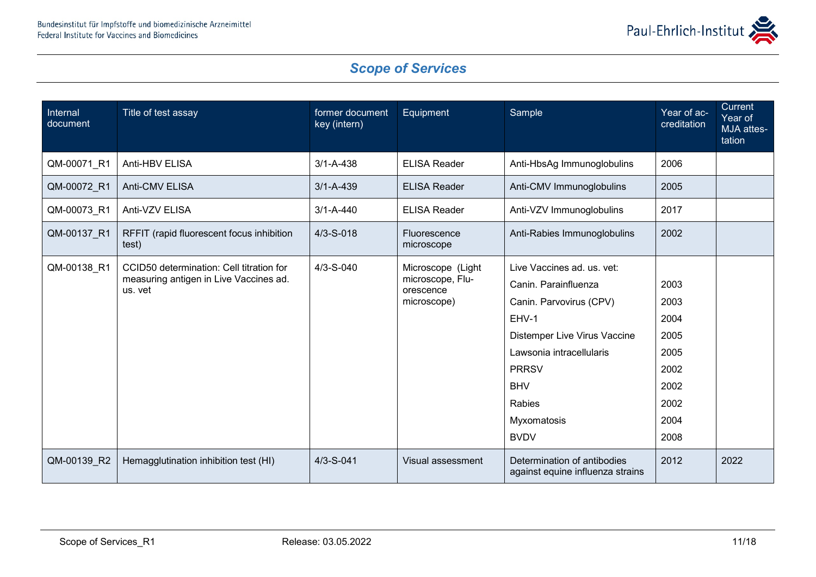

| Internal<br>document | Title of test assay                                                                           | former document<br>key (intern) | Equipment                                                         | Sample                                                                                                                                                                                                                   | Year of ac-<br>creditation                                                   | Current<br>Year of<br>MJA attes-<br>tation |
|----------------------|-----------------------------------------------------------------------------------------------|---------------------------------|-------------------------------------------------------------------|--------------------------------------------------------------------------------------------------------------------------------------------------------------------------------------------------------------------------|------------------------------------------------------------------------------|--------------------------------------------|
| QM-00071_R1          | Anti-HBV ELISA                                                                                | $3/1 - A - 438$                 | <b>ELISA Reader</b>                                               | Anti-HbsAg Immunoglobulins                                                                                                                                                                                               | 2006                                                                         |                                            |
| QM-00072_R1          | Anti-CMV ELISA                                                                                | $3/1 - A - 439$                 | <b>ELISA Reader</b>                                               | Anti-CMV Immunoglobulins                                                                                                                                                                                                 | 2005                                                                         |                                            |
| QM-00073 R1          | Anti-VZV ELISA                                                                                | $3/1 - A - 440$                 | <b>ELISA Reader</b>                                               | Anti-VZV Immunoglobulins                                                                                                                                                                                                 | 2017                                                                         |                                            |
| QM-00137_R1          | RFFIT (rapid fluorescent focus inhibition<br>test)                                            | $4/3 - S - 018$                 | Fluorescence<br>microscope                                        | Anti-Rabies Immunoglobulins                                                                                                                                                                                              | 2002                                                                         |                                            |
| QM-00138_R1          | CCID50 determination: Cell titration for<br>measuring antigen in Live Vaccines ad.<br>us. vet | $4/3 - S - 040$                 | Microscope (Light<br>microscope, Flu-<br>orescence<br>microscope) | Live Vaccines ad. us. vet:<br>Canin. Parainfluenza<br>Canin. Parvovirus (CPV)<br>EHV-1<br>Distemper Live Virus Vaccine<br>Lawsonia intracellularis<br><b>PRRSV</b><br><b>BHV</b><br>Rabies<br>Myxomatosis<br><b>BVDV</b> | 2003<br>2003<br>2004<br>2005<br>2005<br>2002<br>2002<br>2002<br>2004<br>2008 |                                            |
| QM-00139 R2          | Hemagglutination inhibition test (HI)                                                         | $4/3 - S - 041$                 | Visual assessment                                                 | Determination of antibodies<br>against equine influenza strains                                                                                                                                                          | 2012                                                                         | 2022                                       |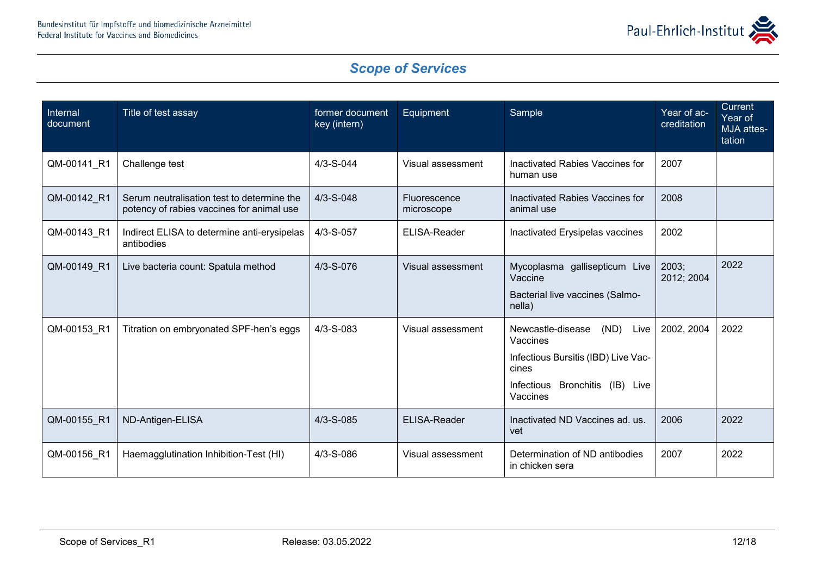

| Internal<br>document | Title of test assay                                                                     | former document<br>key (intern) | Equipment                  | Sample                                                                                                                                                 | Year of ac-<br>creditation | Current<br>Year of<br>MJA attes-<br>tation |
|----------------------|-----------------------------------------------------------------------------------------|---------------------------------|----------------------------|--------------------------------------------------------------------------------------------------------------------------------------------------------|----------------------------|--------------------------------------------|
| QM-00141_R1          | Challenge test                                                                          | $4/3 - S - 044$                 | Visual assessment          | Inactivated Rabies Vaccines for<br>human use                                                                                                           | 2007                       |                                            |
| QM-00142_R1          | Serum neutralisation test to determine the<br>potency of rabies vaccines for animal use | $4/3 - S - 048$                 | Fluorescence<br>microscope | Inactivated Rabies Vaccines for<br>animal use                                                                                                          | 2008                       |                                            |
| QM-00143 R1          | Indirect ELISA to determine anti-erysipelas<br>antibodies                               | 4/3-S-057                       | ELISA-Reader               | Inactivated Erysipelas vaccines                                                                                                                        | 2002                       |                                            |
| QM-00149_R1          | Live bacteria count: Spatula method                                                     | $4/3 - S - 076$                 | Visual assessment          | Mycoplasma gallisepticum Live<br>Vaccine<br>Bacterial live vaccines (Salmo-<br>nella)                                                                  | 2003;<br>2012; 2004        | 2022                                       |
| QM-00153 R1          | Titration on embryonated SPF-hen's eggs                                                 | $4/3 - S - 083$                 | Visual assessment          | (ND)<br>Newcastle-disease<br>Live<br>Vaccines<br>Infectious Bursitis (IBD) Live Vac-<br>cines<br>Bronchitis (IB) Live<br><b>Infectious</b><br>Vaccines | 2002, 2004                 | 2022                                       |
| QM-00155 R1          | ND-Antigen-ELISA                                                                        | $4/3 - S - 085$                 | ELISA-Reader               | Inactivated ND Vaccines ad. us.<br>vet                                                                                                                 | 2006                       | 2022                                       |
| QM-00156 R1          | Haemagglutination Inhibition-Test (HI)                                                  | $4/3 - S - 086$                 | Visual assessment          | Determination of ND antibodies<br>in chicken sera                                                                                                      | 2007                       | 2022                                       |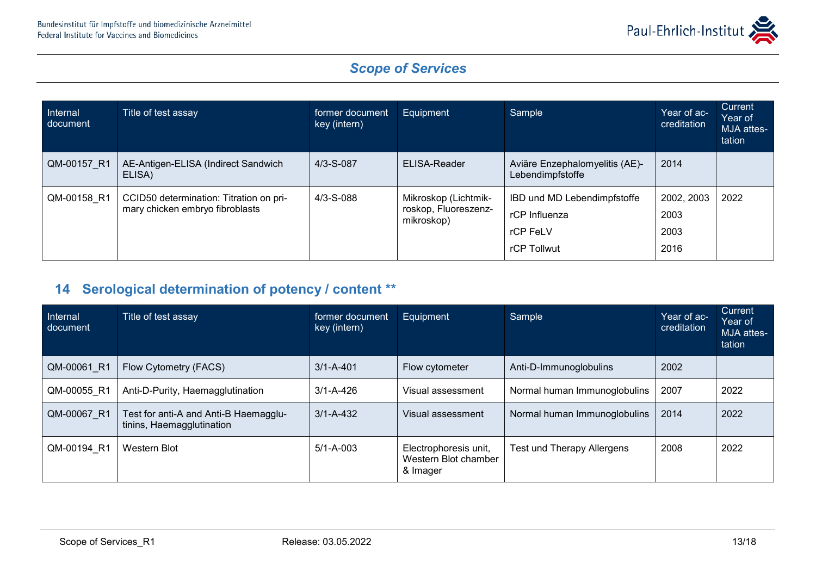

| Internal<br>document | Title of test assay                                                        | former document<br>key (intern) | Equipment                                                  | Sample                                                                  | Year of ac-<br>creditation         | <b>Current</b><br>Year of<br>MJA attes-<br>tation |
|----------------------|----------------------------------------------------------------------------|---------------------------------|------------------------------------------------------------|-------------------------------------------------------------------------|------------------------------------|---------------------------------------------------|
| QM-00157 R1          | AE-Antigen-ELISA (Indirect Sandwich<br>ELISA)                              | $4/3 - S - 087$                 | ELISA-Reader                                               | Aviäre Enzephalomyelitis (AE)-<br>Lebendimpfstoffe                      | 2014                               |                                                   |
| QM-00158 R1          | CCID50 determination: Titration on pri-<br>mary chicken embryo fibroblasts | $4/3 - S - 088$                 | Mikroskop (Lichtmik-<br>roskop, Fluoreszenz-<br>mikroskop) | IBD und MD Lebendimpfstoffe<br>rCP Influenza<br>rCP FeLV<br>rCP Tollwut | 2002, 2003<br>2003<br>2003<br>2016 | 2022                                              |

### **14 Serological determination of potency / content \*\***

| Internal<br>document | Title of test assay                                                | former document<br>key (intern) | Equipment                                                 | Sample                       | Year of ac-<br>creditation | Current<br>Year of<br>MJA attes-<br>tation |
|----------------------|--------------------------------------------------------------------|---------------------------------|-----------------------------------------------------------|------------------------------|----------------------------|--------------------------------------------|
| QM-00061 R1          | Flow Cytometry (FACS)                                              | $3/1 - A - 401$                 | Flow cytometer                                            | Anti-D-Immunoglobulins       | 2002                       |                                            |
| QM-00055 R1          | Anti-D-Purity, Haemagglutination                                   | $3/1 - A - 426$                 | Visual assessment                                         | Normal human Immunoglobulins | 2007                       | 2022                                       |
| QM-00067 R1          | Test for anti-A and Anti-B Haemagglu-<br>tinins, Haemagglutination | $3/1 - A - 432$                 | Visual assessment                                         | Normal human Immunoglobulins | 2014                       | 2022                                       |
| QM-00194 R1          | Western Blot                                                       | $5/1 - A - 003$                 | Electrophoresis unit,<br>Western Blot chamber<br>& Imager | Test und Therapy Allergens   | 2008                       | 2022                                       |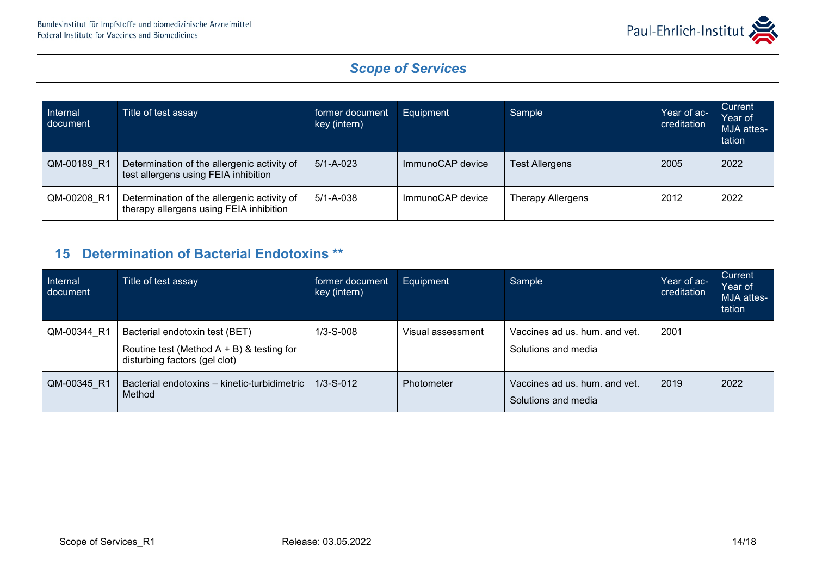

| Internal<br>document | Title of test assay                                                                    | former document<br>key (intern) | Equipment        | Sample                   | Year of ac-<br>creditation | Current<br>Year of<br>MJA attes-<br>tation |
|----------------------|----------------------------------------------------------------------------------------|---------------------------------|------------------|--------------------------|----------------------------|--------------------------------------------|
| QM-00189 R1          | Determination of the allergenic activity of<br>test allergens using FEIA inhibition    | $5/1 - A - 023$                 | ImmunoCAP device | <b>Test Allergens</b>    | 2005                       | 2022                                       |
| QM-00208 R1          | Determination of the allergenic activity of<br>therapy allergens using FEIA inhibition | $5/1 - A - 038$                 | ImmunoCAP device | <b>Therapy Allergens</b> | 2012                       | 2022                                       |

#### **15 Determination of Bacterial Endotoxins \*\***

| Internal<br>document | Title of test assay                                                                                             | former document<br>key (intern) | Equipment         | Sample                                               | Year of ac-<br>creditation | Current<br>Year of<br>MJA attes-<br>tation |
|----------------------|-----------------------------------------------------------------------------------------------------------------|---------------------------------|-------------------|------------------------------------------------------|----------------------------|--------------------------------------------|
| QM-00344 R1          | Bacterial endotoxin test (BET)<br>Routine test (Method $A + B$ ) & testing for<br>disturbing factors (gel clot) | $1/3-S-008$                     | Visual assessment | Vaccines ad us. hum. and vet.<br>Solutions and media | 2001                       |                                            |
| QM-00345 R1          | Bacterial endotoxins - kinetic-turbidimetric<br>Method                                                          | $1/3-S-012$                     | Photometer        | Vaccines ad us. hum. and vet.<br>Solutions and media | 2019                       | 2022                                       |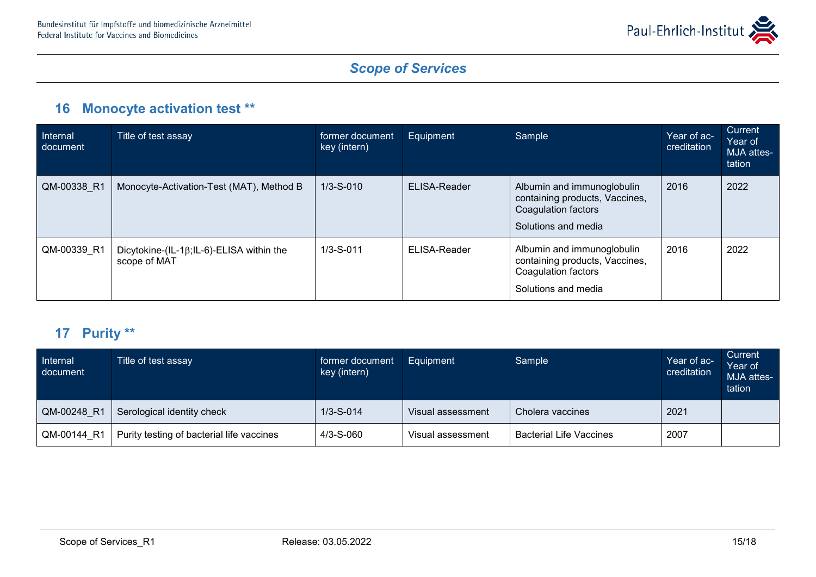

### **16 Monocyte activation test \*\***

| <b>Internal</b><br>document | Title of test assay                                              | former document<br>key (intern) | Equipment    | Sample                                                                                                     | Year of ac-<br>creditation | Current<br>Year of<br>MJA attes-<br>tation |
|-----------------------------|------------------------------------------------------------------|---------------------------------|--------------|------------------------------------------------------------------------------------------------------------|----------------------------|--------------------------------------------|
| QM-00338 R1                 | Monocyte-Activation-Test (MAT), Method B                         | $1/3 - S - 010$                 | ELISA-Reader | Albumin and immunoglobulin<br>containing products, Vaccines,<br>Coagulation factors<br>Solutions and media | 2016                       | 2022                                       |
| QM-00339 R1                 | Dicytokine-(IL-1 $\beta$ ;IL-6)-ELISA within the<br>scope of MAT | $1/3 - S - 011$                 | ELISA-Reader | Albumin and immunoglobulin<br>containing products, Vaccines,<br>Coagulation factors<br>Solutions and media | 2016                       | 2022                                       |

#### **17 Purity \*\***

| Internal<br>document | Title of test assay                       | former document<br>key (intern) | Equipment         | Sample                         | Year of ac-<br>creditation | Current<br>Year of<br>MJA attes-<br>tation |
|----------------------|-------------------------------------------|---------------------------------|-------------------|--------------------------------|----------------------------|--------------------------------------------|
| QM-00248 R1          | Serological identity check                | $1/3 - S - 014$                 | Visual assessment | Cholera vaccines               | 2021                       |                                            |
| QM-00144 R1          | Purity testing of bacterial life vaccines | $4/3 - S - 060$                 | Visual assessment | <b>Bacterial Life Vaccines</b> | 2007                       |                                            |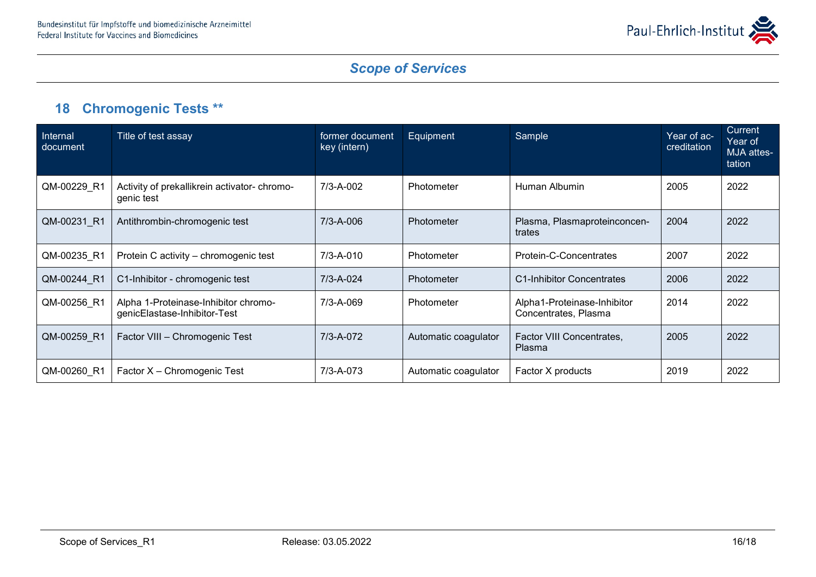

# **18 Chromogenic Tests \*\***

| Internal<br>document | Title of test assay                                                  | former document<br>key (intern) | Equipment            | Sample                                              | Year of ac-<br>creditation | <b>Current</b><br>Year of<br>MJA attes-<br>tation |
|----------------------|----------------------------------------------------------------------|---------------------------------|----------------------|-----------------------------------------------------|----------------------------|---------------------------------------------------|
| QM-00229_R1          | Activity of prekallikrein activator- chromo-<br>genic test           | 7/3-A-002                       | Photometer           | Human Albumin                                       | 2005                       | 2022                                              |
| QM-00231 R1          | Antithrombin-chromogenic test                                        | 7/3-A-006                       | Photometer           | Plasma, Plasmaproteinconcen-<br>trates              | 2004                       | 2022                                              |
| QM-00235 R1          | Protein C activity – chromogenic test                                | 7/3-A-010                       | Photometer           | Protein-C-Concentrates                              | 2007                       | 2022                                              |
| QM-00244 R1          | C1-Inhibitor - chromogenic test                                      | $7/3 - A - 024$                 | Photometer           | C1-Inhibitor Concentrates                           | 2006                       | 2022                                              |
| QM-00256 R1          | Alpha 1-Proteinase-Inhibitor chromo-<br>genicElastase-Inhibitor-Test | 7/3-A-069                       | Photometer           | Alpha1-Proteinase-Inhibitor<br>Concentrates, Plasma | 2014                       | 2022                                              |
| QM-00259 R1          | Factor VIII - Chromogenic Test                                       | 7/3-A-072                       | Automatic coagulator | Factor VIII Concentrates,<br>Plasma                 | 2005                       | 2022                                              |
| QM-00260 R1          | Factor X - Chromogenic Test                                          | 7/3-A-073                       | Automatic coagulator | Factor X products                                   | 2019                       | 2022                                              |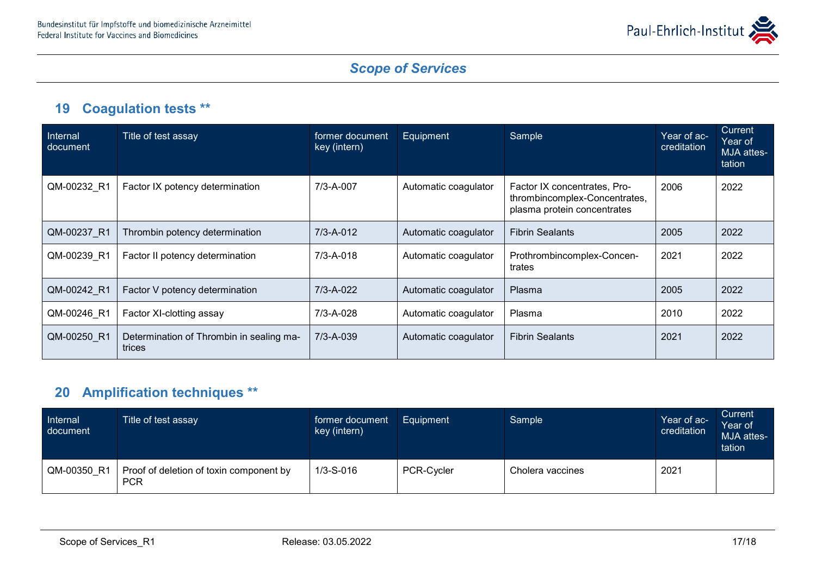

### **19 Coagulation tests \*\***

| Internal<br>document | Title of test assay                                | former document<br>key (intern) | Equipment            | Sample                                                                                       | Year of ac-<br>creditation | <b>Current</b><br>Year of<br>MJA attes-<br>tation |
|----------------------|----------------------------------------------------|---------------------------------|----------------------|----------------------------------------------------------------------------------------------|----------------------------|---------------------------------------------------|
| QM-00232 R1          | Factor IX potency determination                    | 7/3-A-007                       | Automatic coagulator | Factor IX concentrates, Pro-<br>thrombincomplex-Concentrates,<br>plasma protein concentrates | 2006                       | 2022                                              |
| QM-00237 R1          | Thrombin potency determination                     | $7/3 - A - 012$                 | Automatic coagulator | <b>Fibrin Sealants</b>                                                                       | 2005                       | 2022                                              |
| QM-00239 R1          | Factor II potency determination                    | $7/3 - A - 018$                 | Automatic coagulator | Prothrombincomplex-Concen-<br>trates                                                         | 2021                       | 2022                                              |
| QM-00242 R1          | Factor V potency determination                     | 7/3-A-022                       | Automatic coagulator | Plasma                                                                                       | 2005                       | 2022                                              |
| QM-00246 R1          | Factor XI-clotting assay                           | 7/3-A-028                       | Automatic coagulator | Plasma                                                                                       | 2010                       | 2022                                              |
| QM-00250 R1          | Determination of Thrombin in sealing ma-<br>trices | 7/3-A-039                       | Automatic coagulator | <b>Fibrin Sealants</b>                                                                       | 2021                       | 2022                                              |

# **20 Amplification techniques \*\***

| Internal<br>document | Title of test assay                                   | former document<br>key (intern) | Equipment         | Sample           | Year of ac-<br>creditation | Current<br>Year of<br>MJA attes-<br>tation |
|----------------------|-------------------------------------------------------|---------------------------------|-------------------|------------------|----------------------------|--------------------------------------------|
| QM-00350 R1          | Proof of deletion of toxin component by<br><b>PCR</b> | $1/3 - S - 016$                 | <b>PCR-Cycler</b> | Cholera vaccines | 2021                       |                                            |